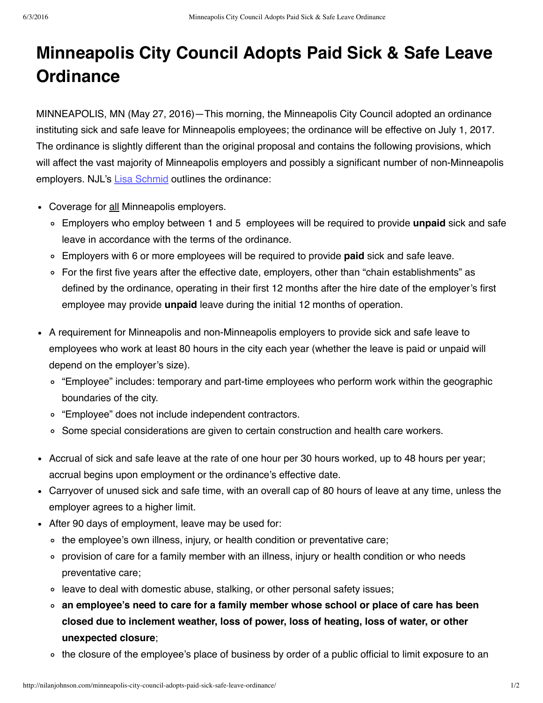## **Minneapolis City Council Adopts Paid Sick & Safe Leave Ordinance**

MINNEAPOLIS, MN (May 27, 2016)—This morning, the Minneapolis City Council adopted an ordinance instituting sick and safe leave for Minneapolis employees; the ordinance will be effective on July 1, 2017. The ordinance is slightly different than the original proposal and contains the following provisions, which will affect the vast majority of Minneapolis employers and possibly a significant number of non-Minneapolis employers. NJL's Lisa [Schmid](http://nilanjohnson.com/people/lisa-m-schmid/) outlines the ordinance:

- Coverage for all Minneapolis employers.
	- Employers who employ between 1 and 5 employees will be required to provide **unpaid** sick and safe leave in accordance with the terms of the ordinance.
	- Employers with 6 or more employees will be required to provide **paid** sick and safe leave.
	- For the first five years after the effective date, employers, other than "chain establishments" as defined by the ordinance, operating in their first 12 months after the hire date of the employer's first employee may provide **unpaid** leave during the initial 12 months of operation.
- A requirement for Minneapolis and non-Minneapolis employers to provide sick and safe leave to employees who work at least 80 hours in the city each year (whether the leave is paid or unpaid will depend on the employer's size).
	- "Employee" includes: temporary and part-time employees who perform work within the geographic boundaries of the city.
	- "Employee" does not include independent contractors.
	- o Some special considerations are given to certain construction and health care workers.
- Accrual of sick and safe leave at the rate of one hour per 30 hours worked, up to 48 hours per year; accrual begins upon employment or the ordinance's effective date.
- Carryover of unused sick and safe time, with an overall cap of 80 hours of leave at any time, unless the employer agrees to a higher limit.
- After 90 days of employment, leave may be used for:
	- o the employee's own illness, injury, or health condition or preventative care;
	- provision of care for a family member with an illness, injury or health condition or who needs preventative care;
	- leave to deal with domestic abuse, stalking, or other personal safety issues;
	- **an employee's need to care for a family member whose school or place of care has been closed due to inclement weather, loss of power, loss of heating, loss of water, or other unexpected closure**;
	- the closure of the employee's place of business by order of a public official to limit exposure to an